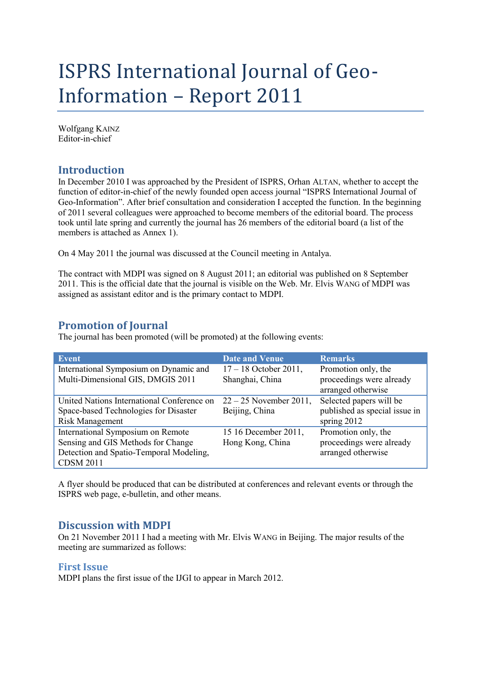# ISPRS International Journal of Geo-Information – Report 2011

Wolfgang KAINZ Editor-in-chief

# **Introduction**

In December 2010 I was approached by the President of ISPRS, Orhan ALTAN, whether to accept the function of editor-in-chief of the newly founded open access journal "ISPRS International Journal of Geo-Information". After brief consultation and consideration I accepted the function. In the beginning of 2011 several colleagues were approached to become members of the editorial board. The process took until late spring and currently the journal has 26 members of the editorial board (a list of the members is attached as Annex 1).

On 4 May 2011 the journal was discussed at the Council meeting in Antalya.

The contract with MDPI was signed on 8 August 2011; an editorial was published on 8 September 2011. This is the official date that the journal is visible on the Web. Mr. Elvis WANG of MDPI was assigned as assistant editor and is the primary contact to MDPI.

# **Promotion of Journal**

The journal has been promoted (will be promoted) at the following events:

| Event                                      | <b>Date and Venue</b>    | <b>Remarks</b>                                 |
|--------------------------------------------|--------------------------|------------------------------------------------|
| International Symposium on Dynamic and     | $17 - 18$ October 2011,  | Promotion only, the                            |
| Multi-Dimensional GIS, DMGIS 2011          | Shanghai, China          | proceedings were already<br>arranged otherwise |
| United Nations International Conference on | $22 - 25$ November 2011, | Selected papers will be                        |
| Space-based Technologies for Disaster      | Beijing, China           | published as special issue in                  |
| Risk Management                            |                          | spring 2012                                    |
| International Symposium on Remote          | 15 16 December 2011,     | Promotion only, the                            |
| Sensing and GIS Methods for Change         | Hong Kong, China         | proceedings were already                       |
| Detection and Spatio-Temporal Modeling,    |                          | arranged otherwise                             |
| <b>CDSM 2011</b>                           |                          |                                                |

A flyer should be produced that can be distributed at conferences and relevant events or through the ISPRS web page, e-bulletin, and other means.

# **Discussion with MDPI**

On 21 November 2011 I had a meeting with Mr. Elvis WANG in Beijing. The major results of the meeting are summarized as follows:

### **First Issue**

MDPI plans the first issue of the IJGI to appear in March 2012.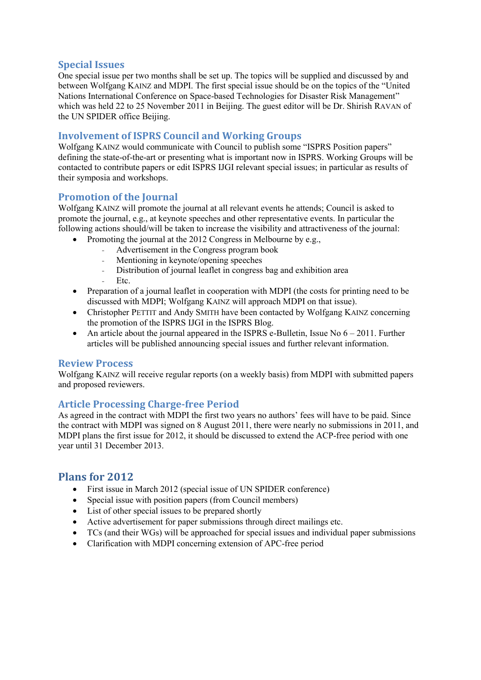## **Special Issues**

One special issue per two months shall be set up. The topics will be supplied and discussed by and between Wolfgang KAINZ and MDPI. The first special issue should be on the topics of the "United Nations International Conference on Space-based Technologies for Disaster Risk Management" which was held 22 to 25 November 2011 in Beijing. The guest editor will be Dr. Shirish RAVAN of the UN SPIDER office Beijing.

## **Involvement of ISPRS Council and Working Groups**

Wolfgang KAINZ would communicate with Council to publish some "ISPRS Position papers" defining the state-of-the-art or presenting what is important now in ISPRS. Working Groups will be contacted to contribute papers or edit ISPRS IJGI relevant special issues; in particular as results of their symposia and workshops.

## **Promotion of the Journal**

Wolfgang KAINZ will promote the journal at all relevant events he attends; Council is asked to promote the journal, e.g., at keynote speeches and other representative events. In particular the following actions should/will be taken to increase the visibility and attractiveness of the journal:

- Promoting the journal at the 2012 Congress in Melbourne by e.g.,
	- Advertisement in the Congress program book
	- Mentioning in keynote/opening speeches
	- Distribution of journal leaflet in congress bag and exhibition area
	- Etc.
- Preparation of a journal leaflet in cooperation with MDPI (the costs for printing need to be discussed with MDPI; Wolfgang KAINZ will approach MDPI on that issue).
- Christopher PETTIT and Andy SMITH have been contacted by Wolfgang KAINZ concerning the promotion of the ISPRS IJGI in the ISPRS Blog.
- An article about the journal appeared in the ISPRS e-Bulletin, Issue No  $6 2011$ . Further articles will be published announcing special issues and further relevant information.

### **Review Process**

Wolfgang KAINZ will receive regular reports (on a weekly basis) from MDPI with submitted papers and proposed reviewers.

## **Article Processing Charge-free Period**

As agreed in the contract with MDPI the first two years no authors' fees will have to be paid. Since the contract with MDPI was signed on 8 August 2011, there were nearly no submissions in 2011, and MDPI plans the first issue for 2012, it should be discussed to extend the ACP-free period with one year until 31 December 2013.

# **Plans for 2012**

- First issue in March 2012 (special issue of UN SPIDER conference)
- Special issue with position papers (from Council members)
- List of other special issues to be prepared shortly
- Active advertisement for paper submissions through direct mailings etc.
- TCs (and their WGs) will be approached for special issues and individual paper submissions
- Clarification with MDPI concerning extension of APC-free period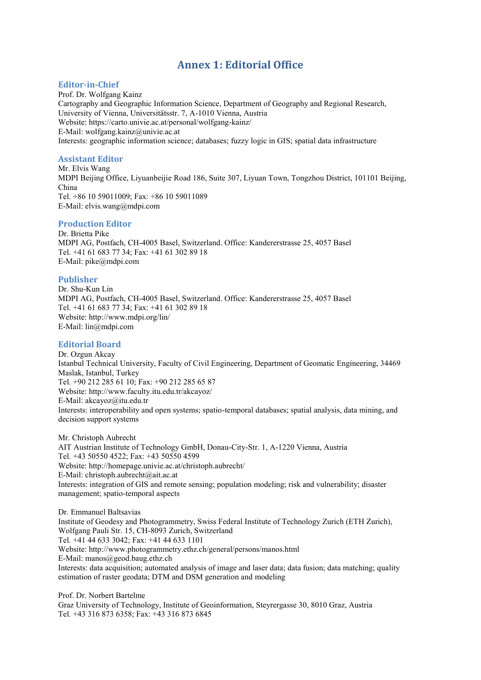# **Annex 1: Editorial Office**

#### **Editor-in-Chief**

Prof. Dr. Wolfgang Kainz Cartography and Geographic Information Science, Department of Geography and Regional Research, University of Vienna, Universitätsstr. 7, A-1010 Vienna, Austria Website: https://carto.univie.ac.at/personal/wolfgang-kainz/ E-Mail: wolfgang.kainz@univie.ac.at Interests: geographic information science; databases; fuzzy logic in GIS; spatial data infrastructure

#### **Assistant Editor**

Mr. Elvis Wang MDPI Beijing Office, Liyuanbeijie Road 186, Suite 307, Liyuan Town, Tongzhou District, 101101 Beijing, China Tel. +86 10 59011009; Fax: +86 10 59011089 E-Mail: elvis.wang@mdpi.com

#### **Production Editor**

Dr. Brietta Pike MDPI AG, Postfach, CH-4005 Basel, Switzerland. Office: Kandererstrasse 25, 4057 Basel Tel. +41 61 683 77 34; Fax: +41 61 302 89 18 E-Mail: pike@mdpi.com

#### **Publisher**

Dr. Shu-Kun Lin MDPI AG, Postfach, CH-4005 Basel, Switzerland. Office: Kandererstrasse 25, 4057 Basel Tel. +41 61 683 77 34; Fax: +41 61 302 89 18 Website: http://www.mdpi.org/lin/ E-Mail: lin@mdpi.com

#### **Editorial Board**

Dr. Ozgun Akcay Istanbul Technical University, Faculty of Civil Engineering, Department of Geomatic Engineering, 34469 Maslak, Istanbul, Turkey Tel. +90 212 285 61 10; Fax: +90 212 285 65 87 Website: http://www.faculty.itu.edu.tr/akcayoz/ E-Mail: akcayoz@itu.edu.tr Interests: interoperability and open systems; spatio-temporal databases; spatial analysis, data mining, and decision support systems

Mr. Christoph Aubrecht AIT Austrian Institute of Technology GmbH, Donau-City-Str. 1, A-1220 Vienna, Austria Tel. +43 50550 4522; Fax: +43 50550 4599 Website: http://homepage.univie.ac.at/christoph.aubrecht/ E-Mail: christoph.aubrecht@ait.ac.at Interests: integration of GIS and remote sensing; population modeling; risk and vulnerability; disaster management; spatio-temporal aspects

Dr. Emmanuel Baltsavias Institute of Geodesy and Photogrammetry, Swiss Federal Institute of Technology Zurich (ETH Zurich), Wolfgang Pauli Str. 15, CH-8093 Zurich, Switzerland Tel. +41 44 633 3042; Fax: +41 44 633 1101 Website: http://www.photogrammetry.ethz.ch/general/persons/manos.html E-Mail: manos@geod.baug.ethz.ch Interests: data acquisition; automated analysis of image and laser data; data fusion; data matching; quality estimation of raster geodata; DTM and DSM generation and modeling

Prof. Dr. Norbert Bartelme Graz University of Technology, Institute of Geoinformation, Steyrergasse 30, 8010 Graz, Austria Tel. +43 316 873 6358; Fax: +43 316 873 6845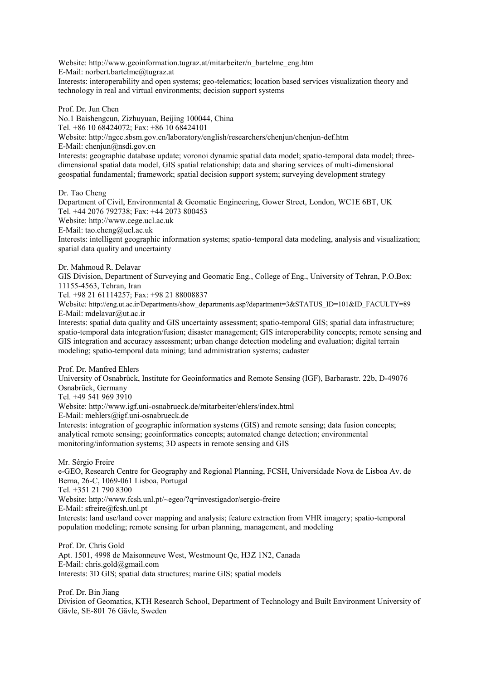Website: http://www.geoinformation.tugraz.at/mitarbeiter/n\_bartelme\_eng.htm E-Mail: norbert.bartelme@tugraz.at

Interests: interoperability and open systems; geo-telematics; location based services visualization theory and technology in real and virtual environments; decision support systems

Prof. Dr. Jun Chen No.1 Baishengcun, Zizhuyuan, Beijing 100044, China Tel. +86 10 68424072; Fax: +86 10 68424101 Website: http://ngcc.sbsm.gov.cn/laboratory/english/researchers/chenjun/chenjun-def.htm E-Mail: chenjun@nsdi.gov.cn Interests: geographic database update; voronoi dynamic spatial data model; spatio-temporal data model; threedimensional spatial data model, GIS spatial relationship; data and sharing services of multi-dimensional geospatial fundamental; framework; spatial decision support system; surveying development strategy Dr. Tao Cheng

Department of Civil, Environmental & Geomatic Engineering, Gower Street, London, WC1E 6BT, UK Tel. +44 2076 792738; Fax: +44 2073 800453 Website: http://www.cege.ucl.ac.uk E-Mail: tao.cheng@ucl.ac.uk Interests: intelligent geographic information systems; spatio-temporal data modeling, analysis and visualization; spatial data quality and uncertainty

Dr. Mahmoud R. Delavar

GIS Division, Department of Surveying and Geomatic Eng., College of Eng., University of Tehran, P.O.Box: 11155-4563, Tehran, Iran

Tel. +98 21 61114257; Fax: +98 21 88008837

Website: http://eng.ut.ac.ir/Departments/show\_departments.asp?department=3&STATUS\_ID=101&ID\_FACULTY=89 E-Mail: mdelavar@ut.ac.ir

Interests: spatial data quality and GIS uncertainty assessment; spatio-temporal GIS; spatial data infrastructure; spatio-temporal data integration/fusion; disaster management; GIS interoperability concepts; remote sensing and GIS integration and accuracy assessment; urban change detection modeling and evaluation; digital terrain modeling; spatio-temporal data mining; land administration systems; cadaster

Prof. Dr. Manfred Ehlers

University of Osnabrück, Institute for Geoinformatics and Remote Sensing (IGF), Barbarastr. 22b, D-49076 Osnabrück, Germany

Tel. +49 541 969 3910

Website: http://www.igf.uni-osnabrueck.de/mitarbeiter/ehlers/index.html

E-Mail: mehlers@igf.uni-osnabrueck.de

Interests: integration of geographic information systems (GIS) and remote sensing; data fusion concepts; analytical remote sensing; geoinformatics concepts; automated change detection; environmental monitoring/information systems; 3D aspects in remote sensing and GIS

Mr. Sérgio Freire

e-GEO, Research Centre for Geography and Regional Planning, FCSH, Universidade Nova de Lisboa Av. de Berna, 26-C, 1069-061 Lisboa, Portugal

Tel. +351 21 790 8300

Website: http://www.fcsh.unl.pt/~egeo/?q=investigador/sergio-freire

E-Mail: sfreire@fcsh.unl.pt

Interests: land use/land cover mapping and analysis; feature extraction from VHR imagery; spatio-temporal population modeling; remote sensing for urban planning, management, and modeling

Prof. Dr. Chris Gold Apt. 1501, 4998 de Maisonneuve West, Westmount Qc, H3Z 1N2, Canada E-Mail: chris.gold@gmail.com Interests: 3D GIS; spatial data structures; marine GIS; spatial models

Prof. Dr. Bin Jiang Division of Geomatics, KTH Research School, Department of Technology and Built Environment University of Gävle, SE-801 76 Gävle, Sweden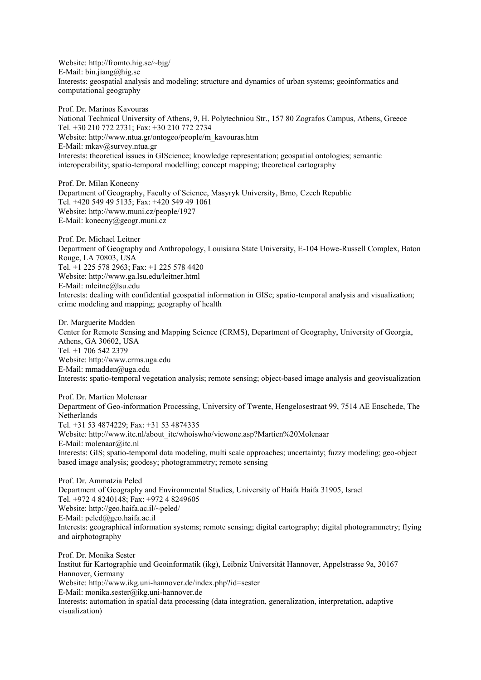Website: http://fromto.hig.se/~bjg/ E-Mail: bin.jiang@hig.se Interests: geospatial analysis and modeling; structure and dynamics of urban systems; geoinformatics and computational geography

Prof. Dr. Marinos Kavouras National Technical University of Athens, 9, H. Polytechniou Str., 157 80 Zografos Campus, Athens, Greece Tel. +30 210 772 2731; Fax: +30 210 772 2734 Website: http://www.ntua.gr/ontogeo/people/m\_kavouras.htm E-Mail: mkav@survey.ntua.gr Interests: theoretical issues in GIScience; knowledge representation; geospatial ontologies; semantic interoperability; spatio-temporal modelling; concept mapping; theoretical cartography

Prof. Dr. Milan Konecny Department of Geography, Faculty of Science, Masyryk University, Brno, Czech Republic Tel. +420 549 49 5135; Fax: +420 549 49 1061 Website: http://www.muni.cz/people/1927 E-Mail: konecny@geogr.muni.cz

Prof. Dr. Michael Leitner Department of Geography and Anthropology, Louisiana State University, E-104 Howe-Russell Complex, Baton Rouge, LA 70803, USA Tel. +1 225 578 2963; Fax: +1 225 578 4420 Website: http://www.ga.lsu.edu/leitner.html E-Mail: mleitne@lsu.edu Interests: dealing with confidential geospatial information in GISc; spatio-temporal analysis and visualization; crime modeling and mapping; geography of health

Dr. Marguerite Madden Center for Remote Sensing and Mapping Science (CRMS), Department of Geography, University of Georgia, Athens, GA 30602, USA Tel. +1 706 542 2379 Website: http://www.crms.uga.edu E-Mail: mmadden@uga.edu Interests: spatio-temporal vegetation analysis; remote sensing; object-based image analysis and geovisualization

Prof. Dr. Martien Molenaar Department of Geo-information Processing, University of Twente, Hengelosestraat 99, 7514 AE Enschede, The Netherlands Tel. +31 53 4874229; Fax: +31 53 4874335 Website: http://www.itc.nl/about\_itc/whoiswho/viewone.asp?Martien%20Molenaar E-Mail: molenaar@itc.nl Interests: GIS; spatio-temporal data modeling, multi scale approaches; uncertainty; fuzzy modeling; geo-object based image analysis; geodesy; photogrammetry; remote sensing

Prof. Dr. Ammatzia Peled Department of Geography and Environmental Studies, University of Haifa Haifa 31905, Israel Tel. +972 4 8240148; Fax: +972 4 8249605 Website: http://geo.haifa.ac.il/~peled/ E-Mail: peled@geo.haifa.ac.il Interests: geographical information systems; remote sensing; digital cartography; digital photogrammetry; flying and airphotography

Prof. Dr. Monika Sester Institut für Kartographie und Geoinformatik (ikg), Leibniz Universität Hannover, Appelstrasse 9a, 30167 Hannover, Germany Website: http://www.ikg.uni-hannover.de/index.php?id=sester E-Mail: monika.sester@ikg.uni-hannover.de Interests: automation in spatial data processing (data integration, generalization, interpretation, adaptive visualization)